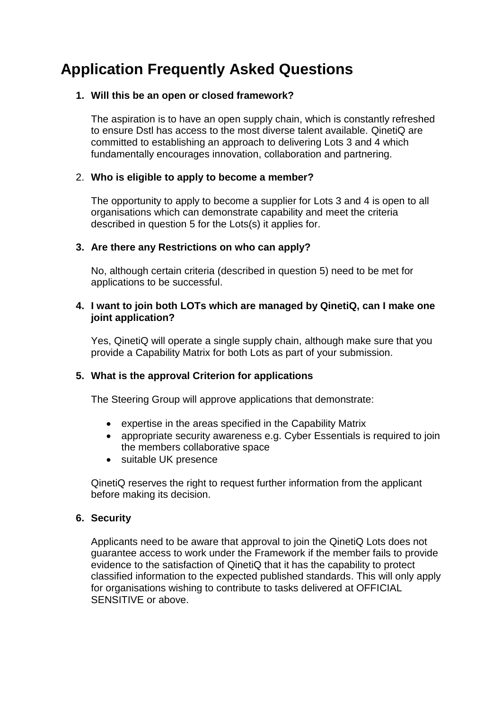# **Application Frequently Asked Questions**

## **1. Will this be an open or closed framework?**

The aspiration is to have an open supply chain, which is constantly refreshed to ensure Dstl has access to the most diverse talent available. QinetiQ are committed to establishing an approach to delivering Lots 3 and 4 which fundamentally encourages innovation, collaboration and partnering.

## 2. **Who is eligible to apply to become a member?**

The opportunity to apply to become a supplier for Lots 3 and 4 is open to all organisations which can demonstrate capability and meet the criteria described in question [5](#page-0-0) for the Lots(s) it applies for.

## **3. Are there any Restrictions on who can apply?**

No, although certain criteria (described in question [5\)](#page-0-0) need to be met for applications to be successful.

#### **4. I want to join both LOTs which are managed by QinetiQ, can I make one joint application?**

Yes, QinetiQ will operate a single supply chain, although make sure that you provide a Capability Matrix for both Lots as part of your submission.

#### <span id="page-0-0"></span>**5. What is the approval Criterion for applications**

The Steering Group will approve applications that demonstrate:

- expertise in the areas specified in the Capability Matrix
- appropriate security awareness e.g. Cyber Essentials is required to join the members collaborative space
- suitable UK presence

QinetiQ reserves the right to request further information from the applicant before making its decision.

#### **6. Security**

Applicants need to be aware that approval to join the QinetiQ Lots does not guarantee access to work under the Framework if the member fails to provide evidence to the satisfaction of QinetiQ that it has the capability to protect classified information to the expected published standards. This will only apply for organisations wishing to contribute to tasks delivered at OFFICIAL SENSITIVE or above.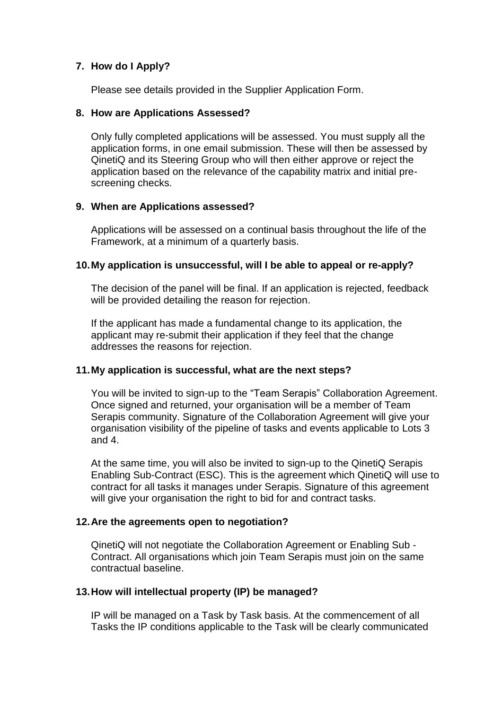## **7. How do I Apply?**

Please see details provided in the Supplier Application Form.

#### **8. How are Applications Assessed?**

Only fully completed applications will be assessed. You must supply all the application forms, in one email submission. These will then be assessed by QinetiQ and its Steering Group who will then either approve or reject the application based on the relevance of the capability matrix and initial prescreening checks.

#### **9. When are Applications assessed?**

Applications will be assessed on a continual basis throughout the life of the Framework, at a minimum of a quarterly basis.

#### **10.My application is unsuccessful, will I be able to appeal or re-apply?**

The decision of the panel will be final. If an application is rejected, feedback will be provided detailing the reason for rejection.

If the applicant has made a fundamental change to its application, the applicant may re-submit their application if they feel that the change addresses the reasons for rejection.

#### **11.My application is successful, what are the next steps?**

You will be invited to sign-up to the "Team Serapis" Collaboration Agreement. Once signed and returned, your organisation will be a member of Team Serapis community. Signature of the Collaboration Agreement will give your organisation visibility of the pipeline of tasks and events applicable to Lots 3 and 4.

At the same time, you will also be invited to sign-up to the QinetiQ Serapis Enabling Sub-Contract (ESC). This is the agreement which QinetiQ will use to contract for all tasks it manages under Serapis. Signature of this agreement will give your organisation the right to bid for and contract tasks.

#### **12.Are the agreements open to negotiation?**

QinetiQ will not negotiate the Collaboration Agreement or Enabling Sub - Contract. All organisations which join Team Serapis must join on the same contractual baseline.

#### **13.How will intellectual property (IP) be managed?**

IP will be managed on a Task by Task basis. At the commencement of all Tasks the IP conditions applicable to the Task will be clearly communicated